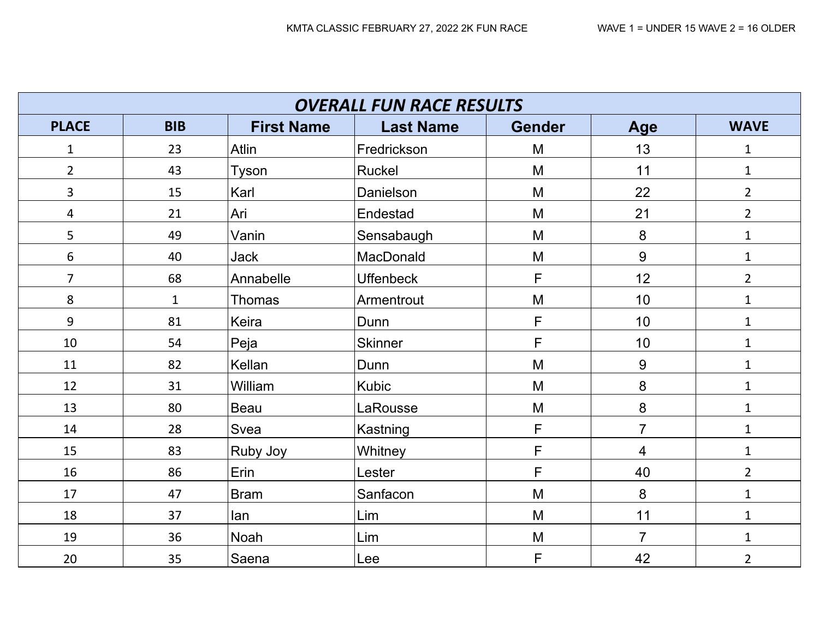|                | <b>OVERALL FUN RACE RESULTS</b> |                   |                  |               |                |                |  |  |  |  |  |
|----------------|---------------------------------|-------------------|------------------|---------------|----------------|----------------|--|--|--|--|--|
| <b>PLACE</b>   | <b>BIB</b>                      | <b>First Name</b> | <b>Last Name</b> | <b>Gender</b> | Age            | <b>WAVE</b>    |  |  |  |  |  |
| $\mathbf{1}$   | 23                              | Atlin             | Fredrickson      | M             | 13             | $\mathbf{1}$   |  |  |  |  |  |
| $\overline{2}$ | 43                              | Tyson             | Ruckel           | M             | 11             | $\mathbf{1}$   |  |  |  |  |  |
| $\overline{3}$ | 15                              | Karl              | Danielson        | M             | 22             | $\overline{2}$ |  |  |  |  |  |
| 4              | 21                              | Ari               | Endestad         | M             | 21             | $\overline{2}$ |  |  |  |  |  |
| 5              | 49                              | Vanin             | Sensabaugh       | M             | 8              | $\mathbf{1}$   |  |  |  |  |  |
| 6              | 40                              | <b>Jack</b>       | MacDonald        | M             | 9              | $\mathbf{1}$   |  |  |  |  |  |
| $\overline{7}$ | 68                              | Annabelle         | <b>Uffenbeck</b> | F             | 12             | $\overline{2}$ |  |  |  |  |  |
| 8              | $\mathbf{1}$                    | Thomas            | Armentrout       | M             | 10             | $\mathbf{1}$   |  |  |  |  |  |
| 9              | 81                              | Keira             | Dunn             | F             | 10             | $\mathbf{1}$   |  |  |  |  |  |
| 10             | 54                              | Peja              | <b>Skinner</b>   | F             | 10             | $\mathbf{1}$   |  |  |  |  |  |
| 11             | 82                              | Kellan            | Dunn             | M             | $9\,$          | $\mathbf{1}$   |  |  |  |  |  |
| 12             | 31                              | William           | <b>Kubic</b>     | M             | 8              | $\mathbf{1}$   |  |  |  |  |  |
| 13             | 80                              | Beau              | LaRousse         | M             | 8              | $\mathbf{1}$   |  |  |  |  |  |
| 14             | 28                              | Svea              | Kastning         | F             | $\overline{7}$ | $\mathbf{1}$   |  |  |  |  |  |
| 15             | 83                              | Ruby Joy          | Whitney          | F             | $\overline{4}$ | $\mathbf{1}$   |  |  |  |  |  |
| 16             | 86                              | Erin              | Lester           | F             | 40             | $\overline{2}$ |  |  |  |  |  |
| 17             | 47                              | <b>Bram</b>       | Sanfacon         | M             | 8              | $\mathbf{1}$   |  |  |  |  |  |
| 18             | 37                              | lan               | Lim              | M             | 11             | $\mathbf{1}$   |  |  |  |  |  |
| 19             | 36                              | Noah              | Lim              | M             | $\overline{7}$ | $\mathbf{1}$   |  |  |  |  |  |
| 20             | 35                              | Saena             | Lee              | F             | 42             | $\overline{2}$ |  |  |  |  |  |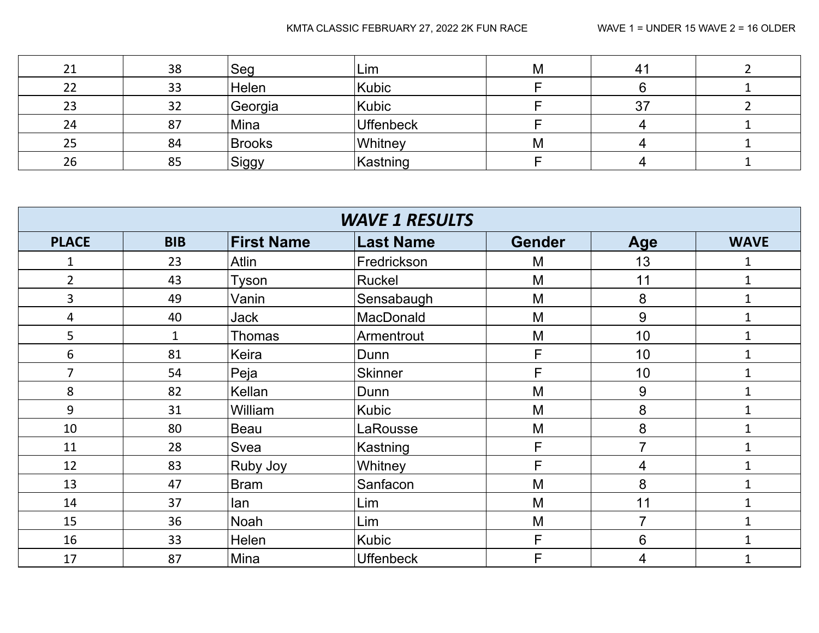| $\mathbf{A}$ | 38 | Seg     | Lim              | Μ |  |
|--------------|----|---------|------------------|---|--|
| 22           | 33 | Helen   | Kubic            |   |  |
| 23           | 32 | Georgia | Kubic            |   |  |
| 24           | 87 | Mina    | <b>Uffenbeck</b> |   |  |
| 25           | 84 | Brooks  | Whitney          | M |  |
| 26           | 85 | Siggy   | Kastning         |   |  |

| <b>WAVE 1 RESULTS</b> |              |                   |                  |               |                |              |  |  |  |  |
|-----------------------|--------------|-------------------|------------------|---------------|----------------|--------------|--|--|--|--|
| <b>PLACE</b>          | <b>BIB</b>   | <b>First Name</b> | Last Name        | <b>Gender</b> | Age            | <b>WAVE</b>  |  |  |  |  |
|                       | 23           | Atlin             | Fredrickson      | M             | 13             | 1            |  |  |  |  |
| $\overline{2}$        | 43           | Tyson             | Ruckel           | M             | 11             | $\mathbf{1}$ |  |  |  |  |
| 3                     | 49           | Vanin             | Sensabaugh       | M             | 8              | $\mathbf 1$  |  |  |  |  |
| 4                     | 40           | <b>Jack</b>       | MacDonald        | M             | 9              | $\mathbf 1$  |  |  |  |  |
| 5                     | $\mathbf{1}$ | Thomas            | Armentrout       | M             | 10             | $\mathbf{1}$ |  |  |  |  |
| 6                     | 81           | Keira             | Dunn             | F             | 10             | $\mathbf{1}$ |  |  |  |  |
| 7                     | 54           | Peja              | <b>Skinner</b>   | F             | 10             | $\mathbf{1}$ |  |  |  |  |
| 8                     | 82           | Kellan            | Dunn             | M             | 9              | $\mathbf{1}$ |  |  |  |  |
| 9                     | 31           | William           | <b>Kubic</b>     | M             | 8              | $\mathbf{1}$ |  |  |  |  |
| 10                    | 80           | <b>Beau</b>       | LaRousse         | M             | 8              | $\mathbf{1}$ |  |  |  |  |
| 11                    | 28           | Svea              | Kastning         | F             | $\overline{7}$ | $\mathbf{1}$ |  |  |  |  |
| 12                    | 83           | Ruby Joy          | Whitney          | F             | 4              | $\mathbf{1}$ |  |  |  |  |
| 13                    | 47           | <b>Bram</b>       | Sanfacon         | M             | 8              | $\mathbf{1}$ |  |  |  |  |
| 14                    | 37           | lan               | Lim              | M             | 11             | $\mathbf{1}$ |  |  |  |  |
| 15                    | 36           | Noah              | Lim              | M             | 7              | $\mathbf{1}$ |  |  |  |  |
| 16                    | 33           | Helen             | <b>Kubic</b>     | F             | 6              | 1            |  |  |  |  |
| 17                    | 87           | Mina              | <b>Uffenbeck</b> | F             | 4              |              |  |  |  |  |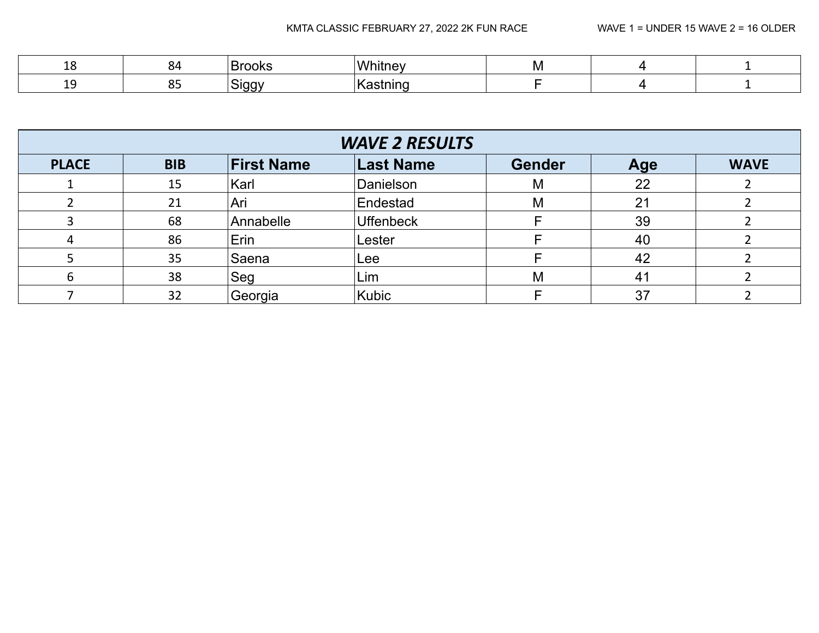| -- | ~        | ')K. |     | M |  |
|----|----------|------|-----|---|--|
| -- | <b>.</b> | --   | . . |   |  |

| <b>WAVE 2 RESULTS</b> |            |                   |                  |               |                |             |  |  |  |
|-----------------------|------------|-------------------|------------------|---------------|----------------|-------------|--|--|--|
| <b>PLACE</b>          | <b>BIB</b> | <b>First Name</b> | <b>Last Name</b> | <b>Gender</b> | Age            | <b>WAVE</b> |  |  |  |
|                       | 15         | Karl              | Danielson        | M             | 22             |             |  |  |  |
|                       | 21         | Ari               | Endestad         | M             | 21             |             |  |  |  |
|                       | 68         | Annabelle         | <b>Uffenbeck</b> |               | 39             |             |  |  |  |
|                       | 86         | Erin              | Lester           |               | 40             |             |  |  |  |
|                       | 35         | Saena             | Lee              |               | 42             |             |  |  |  |
| n                     | 38         | Seg               | Lim              | М             | 4 <sup>1</sup> |             |  |  |  |
|                       | 32         | Georgia           | Kubic            |               | 37             |             |  |  |  |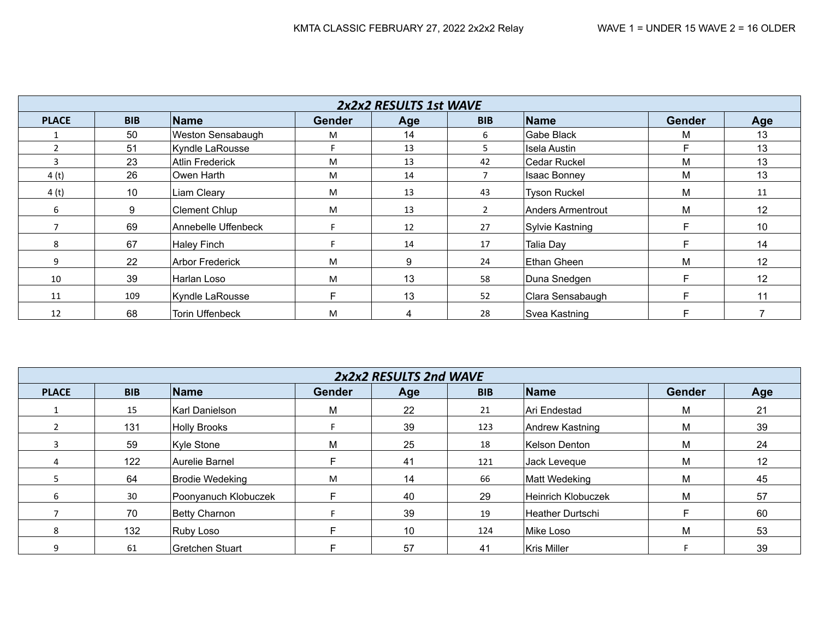|              |            |                        |               | 2x2x2 RESULTS 1st WAVE |               |                     |               |                   |
|--------------|------------|------------------------|---------------|------------------------|---------------|---------------------|---------------|-------------------|
| <b>PLACE</b> | <b>BIB</b> | <b>Name</b>            | <b>Gender</b> | Age                    | <b>BIB</b>    | Name                | <b>Gender</b> | Age               |
|              | 50         | Weston Sensabaugh      | M             | 14                     | 6             | Gabe Black          | M             | 13                |
|              | 51         | Kyndle LaRousse        |               | 13                     | 5             | Isela Austin        | F             | 13                |
|              | 23         | <b>Atlin Frederick</b> | M             | 13                     | 42            | Cedar Ruckel        | М             | 13                |
| 4(t)         | 26         | Owen Harth             | M             | 14                     |               | <b>Isaac Bonney</b> | M             | 13                |
| 4(t)         | 10         | Liam Cleary            | M             | 13                     | 43            | <b>Tyson Ruckel</b> | M             | 11                |
| 6            | 9          | <b>Clement Chlup</b>   | M             | 13                     | $\mathcal{P}$ | Anders Armentrout   | м             | 12                |
|              | 69         | Annebelle Uffenbeck    |               | 12                     | 27            | Sylvie Kastning     | E             | 10                |
| 8            | 67         | Haley Finch            |               | 14                     | 17            | Talia Day           | F             | 14                |
| 9            | 22         | <b>Arbor Frederick</b> | M             | 9                      | 24            | Ethan Gheen         | M             | $12 \overline{ }$ |
| 10           | 39         | Harlan Loso            | M             | 13                     | 58            | Duna Snedgen        | F             | 12                |
| 11           | 109        | Kyndle LaRousse        |               | 13                     | 52            | Clara Sensabaugh    | F.            | 11                |
| 12           | 68         | Torin Uffenbeck        | M             | 4                      | 28            | Svea Kastning       | F             |                   |

|              |            |                      |        | 2x2x2 RESULTS 2nd WAVE |            |                    |               |                   |
|--------------|------------|----------------------|--------|------------------------|------------|--------------------|---------------|-------------------|
| <b>PLACE</b> | <b>BIB</b> | Name                 | Gender | Age                    | <b>BIB</b> | Name               | <b>Gender</b> | Age               |
|              | 15         | Karl Danielson       | М      | 22                     | 21         | ∣Ari Endestad      | М             | 21                |
|              | 131        | <b>Holly Brooks</b>  |        | 39                     | 123        | Andrew Kastning    | M             | 39                |
|              | 59         | Kyle Stone           | M      | 25                     | 18         | Kelson Denton      | M             | 24                |
|              | 122        | Aurelie Barnel       |        | 41                     | 121        | Jack Leveque       | M             | $12 \overline{ }$ |
|              | 64         | Brodie Wedeking      | M      | 14                     | 66         | Matt Wedeking      | M             | 45                |
| 6            | 30         | Poonyanuch Klobuczek |        | 40                     | 29         | Heinrich Klobuczek | M             | 57                |
|              | 70         | Betty Charnon        |        | 39                     | 19         | Heather Durtschi   |               | 60                |
| 8            | 132        | Ruby Loso            |        | 10                     | 124        | Mike Loso          | M             | 53                |
| 9            | 61         | Gretchen Stuart      |        | 57                     | 41         | Kris Miller        |               | 39                |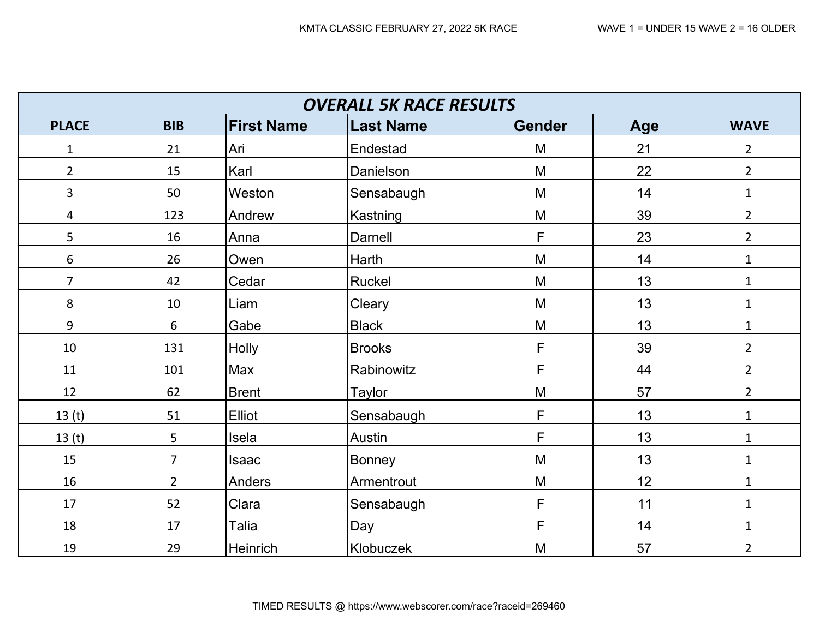| <b>OVERALL 5K RACE RESULTS</b> |                |                   |                  |               |     |                |  |  |  |  |
|--------------------------------|----------------|-------------------|------------------|---------------|-----|----------------|--|--|--|--|
| <b>PLACE</b>                   | <b>BIB</b>     | <b>First Name</b> | <b>Last Name</b> | <b>Gender</b> | Age | <b>WAVE</b>    |  |  |  |  |
| $\mathbf{1}$                   | 21             | Ari               | Endestad         | M             | 21  | $\overline{2}$ |  |  |  |  |
| $\overline{2}$                 | 15             | Karl              | Danielson        | M             | 22  | $\overline{2}$ |  |  |  |  |
| $\overline{3}$                 | 50             | Weston            | Sensabaugh       | M             | 14  | $\mathbf{1}$   |  |  |  |  |
| $\overline{4}$                 | 123            | Andrew            | Kastning         | M             | 39  | $\overline{2}$ |  |  |  |  |
| 5                              | 16             | Anna              | Darnell          | F             | 23  | $\overline{2}$ |  |  |  |  |
| 6                              | 26             | Owen              | Harth            | M             | 14  | $\mathbf 1$    |  |  |  |  |
| $\overline{7}$                 | 42             | Cedar             | Ruckel           | M             | 13  | $\mathbf{1}$   |  |  |  |  |
| 8                              | 10             | Liam              | Cleary           | M             | 13  | $\mathbf{1}$   |  |  |  |  |
| 9                              | 6              | Gabe              | <b>Black</b>     | M             | 13  | $\mathbf{1}$   |  |  |  |  |
| 10                             | 131            | Holly             | <b>Brooks</b>    | F             | 39  | $2^{\circ}$    |  |  |  |  |
| 11                             | 101            | Max               | Rabinowitz       | F             | 44  | $\overline{2}$ |  |  |  |  |
| 12                             | 62             | <b>Brent</b>      | <b>Taylor</b>    | M             | 57  | $\overline{2}$ |  |  |  |  |
| 13 <sub>(t)</sub>              | 51             | Elliot            | Sensabaugh       | F.            | 13  | $\mathbf{1}$   |  |  |  |  |
| 13 <sub>(t)</sub>              | 5              | Isela             | Austin           | F             | 13  | $\mathbf{1}$   |  |  |  |  |
| 15                             | $\overline{7}$ | <b>Isaac</b>      | Bonney           | M             | 13  | $\mathbf{1}$   |  |  |  |  |
| 16                             | $\overline{2}$ | Anders            | Armentrout       | M             | 12  | $\mathbf{1}$   |  |  |  |  |
| 17                             | 52             | Clara             | Sensabaugh       | F             | 11  | $\mathbf{1}$   |  |  |  |  |
| 18                             | 17             | Talia             | Day              | F             | 14  | $\mathbf{1}$   |  |  |  |  |
| 19                             | 29             | Heinrich          | Klobuczek        | M             | 57  | $\overline{2}$ |  |  |  |  |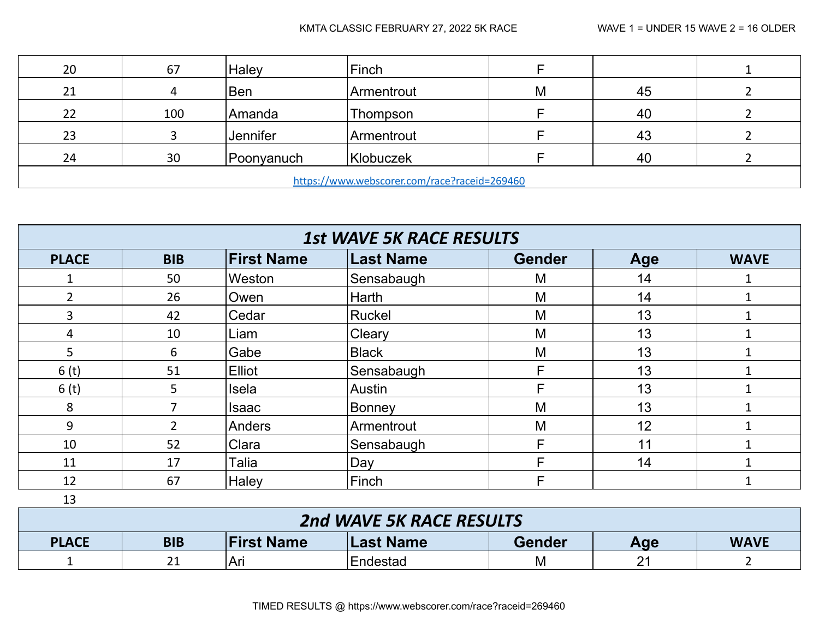| 20                                           | 67  | Haley           | Finch      |   |    |  |  |  |
|----------------------------------------------|-----|-----------------|------------|---|----|--|--|--|
| 21                                           | 4   | <b>Ben</b>      | Armentrout | M | 45 |  |  |  |
| 22                                           | 100 | Amanda          | Thompson   |   | 40 |  |  |  |
| 23                                           |     | <b>Jennifer</b> | Armentrout |   | 43 |  |  |  |
| 24                                           | 30  | Poonyanuch      | Klobuczek  |   | 40 |  |  |  |
| https://www.webscorer.com/race?raceid=269460 |     |                 |            |   |    |  |  |  |

| <b>1st WAVE 5K RACE RESULTS</b> |                |                   |                  |               |     |              |  |  |  |
|---------------------------------|----------------|-------------------|------------------|---------------|-----|--------------|--|--|--|
| <b>PLACE</b>                    | <b>BIB</b>     | <b>First Name</b> | <b>Last Name</b> | <b>Gender</b> | Age | <b>WAVE</b>  |  |  |  |
|                                 | 50             | Weston            | Sensabaugh       | M             | 14  |              |  |  |  |
| 2                               | 26             | Owen              | Harth            | M             | 14  |              |  |  |  |
| 3                               | 42             | Cedar             | Ruckel           | M             | 13  |              |  |  |  |
| 4                               | 10             | Liam              | Cleary           | M             | 13  |              |  |  |  |
| 5                               | 6              | Gabe              | <b>Black</b>     | M             | 13  |              |  |  |  |
| 6 <sub>(t)</sub>                | 51             | <b>Elliot</b>     | Sensabaugh       | F             | 13  |              |  |  |  |
| 6 <sub>(t)</sub>                | 5              | Isela             | Austin           | F             | 13  |              |  |  |  |
| 8                               |                | <b>Isaac</b>      | Bonney           | M             | 13  |              |  |  |  |
| 9                               | $\overline{2}$ | Anders            | Armentrout       | M             | 12  |              |  |  |  |
| 10                              | 52             | Clara             | Sensabaugh       | F             | 11  | 1            |  |  |  |
| 11                              | 17             | Talia             | Day              | F             | 14  |              |  |  |  |
| 12                              | 67             | Haley             | Finch            | F             |     | $\mathbf{1}$ |  |  |  |

| 2nd WAVE 5K RACE RESULTS |                                                                                     |     |          |   |                |  |  |  |
|--------------------------|-------------------------------------------------------------------------------------|-----|----------|---|----------------|--|--|--|
| <b>PLACE</b>             | <b>First Name</b><br>Last Name<br><b>Gender</b><br><b>BIB</b><br><b>WAVE</b><br>Age |     |          |   |                |  |  |  |
|                          | 21                                                                                  | Ari | Endestad | M | つ1<br><u>L</u> |  |  |  |